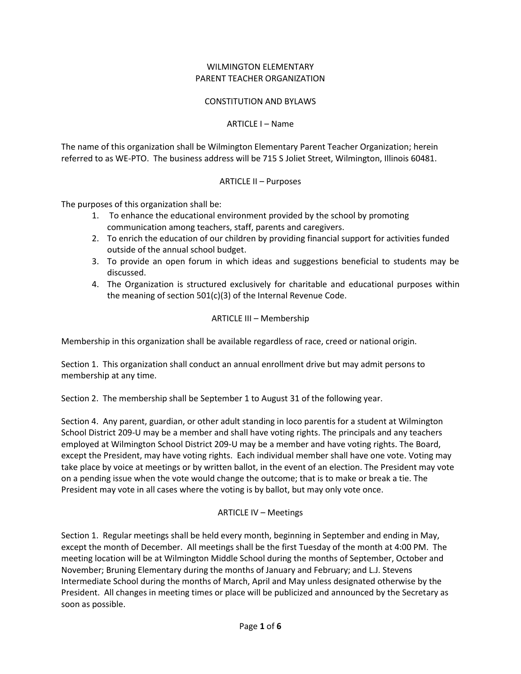#### WILMINGTON ELEMENTARY PARENT TEACHER ORGANIZATION

### CONSTITUTION AND BYLAWS

### ARTICLE I – Name

The name of this organization shall be Wilmington Elementary Parent Teacher Organization; herein referred to as WE-PTO. The business address will be 715 S Joliet Street, Wilmington, Illinois 60481.

### ARTICLE II – Purposes

The purposes of this organization shall be:

- 1. To enhance the educational environment provided by the school by promoting communication among teachers, staff, parents and caregivers.
- 2. To enrich the education of our children by providing financial support for activities funded outside of the annual school budget.
- 3. To provide an open forum in which ideas and suggestions beneficial to students may be discussed.
- 4. The Organization is structured exclusively for charitable and educational purposes within the meaning of section 501(c)(3) of the Internal Revenue Code.

### ARTICLE III – Membership

Membership in this organization shall be available regardless of race, creed or national origin.

Section 1. This organization shall conduct an annual enrollment drive but may admit persons to membership at any time.

Section 2. The membership shall be September 1 to August 31 of the following year.

Section 4. Any parent, guardian, or other adult standing in loco parentis for a student at Wilmington School District 209-U may be a member and shall have voting rights. The principals and any teachers employed at Wilmington School District 209-U may be a member and have voting rights. The Board, except the President, may have voting rights. Each individual member shall have one vote. Voting may take place by voice at meetings or by written ballot, in the event of an election. The President may vote on a pending issue when the vote would change the outcome; that is to make or break a tie. The President may vote in all cases where the voting is by ballot, but may only vote once.

## ARTICLE IV – Meetings

Section 1. Regular meetings shall be held every month, beginning in September and ending in May, except the month of December. All meetings shall be the first Tuesday of the month at 4:00 PM. The meeting location will be at Wilmington Middle School during the months of September, October and November; Bruning Elementary during the months of January and February; and L.J. Stevens Intermediate School during the months of March, April and May unless designated otherwise by the President. All changes in meeting times or place will be publicized and announced by the Secretary as soon as possible.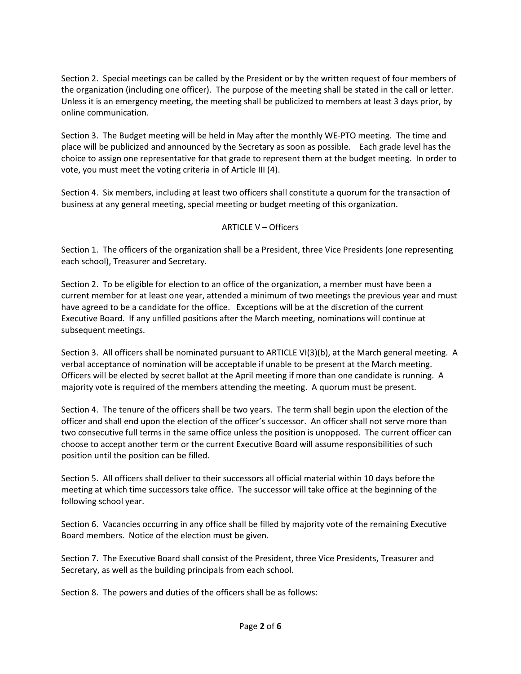Section 2. Special meetings can be called by the President or by the written request of four members of the organization (including one officer). The purpose of the meeting shall be stated in the call or letter. Unless it is an emergency meeting, the meeting shall be publicized to members at least 3 days prior, by online communication.

Section 3. The Budget meeting will be held in May after the monthly WE-PTO meeting. The time and place will be publicized and announced by the Secretary as soon as possible. Each grade level has the choice to assign one representative for that grade to represent them at the budget meeting. In order to vote, you must meet the voting criteria in of Article III (4).

Section 4. Six members, including at least two officers shall constitute a quorum for the transaction of business at any general meeting, special meeting or budget meeting of this organization.

## ARTICLE V – Officers

Section 1. The officers of the organization shall be a President, three Vice Presidents (one representing each school), Treasurer and Secretary.

Section 2. To be eligible for election to an office of the organization, a member must have been a current member for at least one year, attended a minimum of two meetings the previous year and must have agreed to be a candidate for the office. Exceptions will be at the discretion of the current Executive Board. If any unfilled positions after the March meeting, nominations will continue at subsequent meetings.

Section 3. All officers shall be nominated pursuant to ARTICLE VI(3)(b), at the March general meeting. A verbal acceptance of nomination will be acceptable if unable to be present at the March meeting. Officers will be elected by secret ballot at the April meeting if more than one candidate is running. A majority vote is required of the members attending the meeting. A quorum must be present.

Section 4. The tenure of the officers shall be two years. The term shall begin upon the election of the officer and shall end upon the election of the officer's successor. An officer shall not serve more than two consecutive full terms in the same office unless the position is unopposed. The current officer can choose to accept another term or the current Executive Board will assume responsibilities of such position until the position can be filled.

Section 5. All officers shall deliver to their successors all official material within 10 days before the meeting at which time successors take office. The successor will take office at the beginning of the following school year.

Section 6. Vacancies occurring in any office shall be filled by majority vote of the remaining Executive Board members. Notice of the election must be given.

Section 7. The Executive Board shall consist of the President, three Vice Presidents, Treasurer and Secretary, as well as the building principals from each school.

Section 8. The powers and duties of the officers shall be as follows: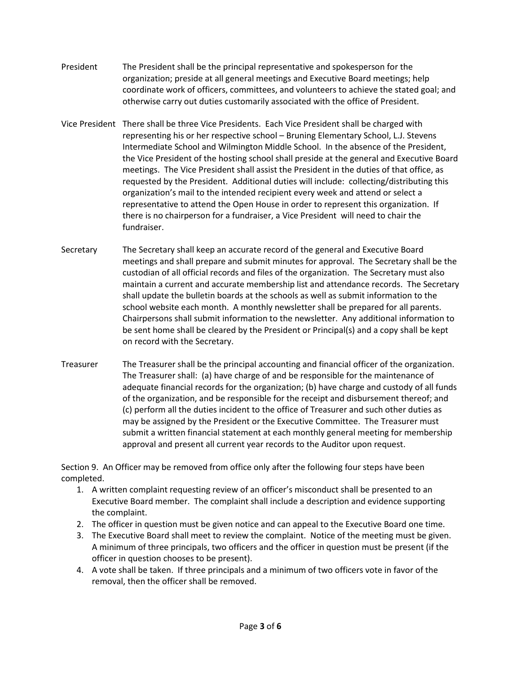- President The President shall be the principal representative and spokesperson for the organization; preside at all general meetings and Executive Board meetings; help coordinate work of officers, committees, and volunteers to achieve the stated goal; and otherwise carry out duties customarily associated with the office of President.
- Vice President There shall be three Vice Presidents. Each Vice President shall be charged with representing his or her respective school – Bruning Elementary School, L.J. Stevens Intermediate School and Wilmington Middle School. In the absence of the President, the Vice President of the hosting school shall preside at the general and Executive Board meetings. The Vice President shall assist the President in the duties of that office, as requested by the President. Additional duties will include: collecting/distributing this organization's mail to the intended recipient every week and attend or select a representative to attend the Open House in order to represent this organization. If there is no chairperson for a fundraiser, a Vice President will need to chair the fundraiser.
- Secretary The Secretary shall keep an accurate record of the general and Executive Board meetings and shall prepare and submit minutes for approval. The Secretary shall be the custodian of all official records and files of the organization. The Secretary must also maintain a current and accurate membership list and attendance records. The Secretary shall update the bulletin boards at the schools as well as submit information to the school website each month. A monthly newsletter shall be prepared for all parents. Chairpersons shall submit information to the newsletter. Any additional information to be sent home shall be cleared by the President or Principal(s) and a copy shall be kept on record with the Secretary.
- Treasurer The Treasurer shall be the principal accounting and financial officer of the organization. The Treasurer shall: (a) have charge of and be responsible for the maintenance of adequate financial records for the organization; (b) have charge and custody of all funds of the organization, and be responsible for the receipt and disbursement thereof; and (c) perform all the duties incident to the office of Treasurer and such other duties as may be assigned by the President or the Executive Committee. The Treasurer must submit a written financial statement at each monthly general meeting for membership approval and present all current year records to the Auditor upon request.

Section 9. An Officer may be removed from office only after the following four steps have been completed.

- 1. A written complaint requesting review of an officer's misconduct shall be presented to an Executive Board member. The complaint shall include a description and evidence supporting the complaint.
- 2. The officer in question must be given notice and can appeal to the Executive Board one time.
- 3. The Executive Board shall meet to review the complaint. Notice of the meeting must be given. A minimum of three principals, two officers and the officer in question must be present (if the officer in question chooses to be present).
- 4. A vote shall be taken. If three principals and a minimum of two officers vote in favor of the removal, then the officer shall be removed.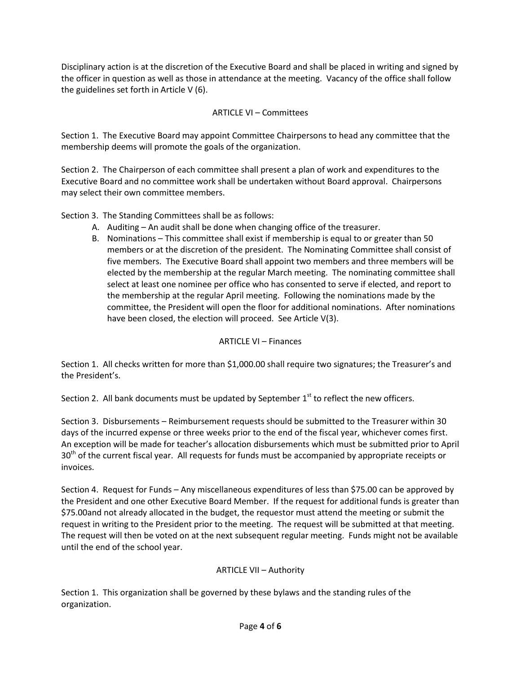Disciplinary action is at the discretion of the Executive Board and shall be placed in writing and signed by the officer in question as well as those in attendance at the meeting. Vacancy of the office shall follow the guidelines set forth in Article V (6).

# ARTICLE VI – Committees

Section 1. The Executive Board may appoint Committee Chairpersons to head any committee that the membership deems will promote the goals of the organization.

Section 2. The Chairperson of each committee shall present a plan of work and expenditures to the Executive Board and no committee work shall be undertaken without Board approval. Chairpersons may select their own committee members.

Section 3. The Standing Committees shall be as follows:

- A. Auditing An audit shall be done when changing office of the treasurer.
- B. Nominations This committee shall exist if membership is equal to or greater than 50 members or at the discretion of the president. The Nominating Committee shall consist of five members. The Executive Board shall appoint two members and three members will be elected by the membership at the regular March meeting. The nominating committee shall select at least one nominee per office who has consented to serve if elected, and report to the membership at the regular April meeting. Following the nominations made by the committee, the President will open the floor for additional nominations. After nominations have been closed, the election will proceed. See Article V(3).

## ARTICLE VI – Finances

Section 1. All checks written for more than \$1,000.00 shall require two signatures; the Treasurer's and the President's.

Section 2. All bank documents must be updated by September  $1<sup>st</sup>$  to reflect the new officers.

Section 3. Disbursements – Reimbursement requests should be submitted to the Treasurer within 30 days of the incurred expense or three weeks prior to the end of the fiscal year, whichever comes first. An exception will be made for teacher's allocation disbursements which must be submitted prior to April 30<sup>th</sup> of the current fiscal year. All requests for funds must be accompanied by appropriate receipts or invoices.

Section 4. Request for Funds – Any miscellaneous expenditures of less than \$75.00 can be approved by the President and one other Executive Board Member. If the request for additional funds is greater than \$75.00and not already allocated in the budget, the requestor must attend the meeting or submit the request in writing to the President prior to the meeting. The request will be submitted at that meeting. The request will then be voted on at the next subsequent regular meeting. Funds might not be available until the end of the school year.

# ARTICLE VII – Authority

Section 1. This organization shall be governed by these bylaws and the standing rules of the organization.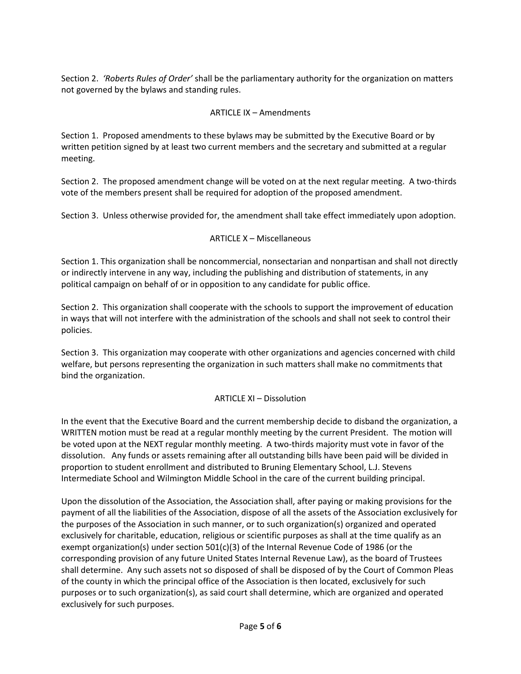Section 2. *'Roberts Rules of Order'* shall be the parliamentary authority for the organization on matters not governed by the bylaws and standing rules.

## ARTICLE IX – Amendments

Section 1. Proposed amendments to these bylaws may be submitted by the Executive Board or by written petition signed by at least two current members and the secretary and submitted at a regular meeting.

Section 2. The proposed amendment change will be voted on at the next regular meeting. A two-thirds vote of the members present shall be required for adoption of the proposed amendment.

Section 3. Unless otherwise provided for, the amendment shall take effect immediately upon adoption.

## ARTICLE X – Miscellaneous

Section 1. This organization shall be noncommercial, nonsectarian and nonpartisan and shall not directly or indirectly intervene in any way, including the publishing and distribution of statements, in any political campaign on behalf of or in opposition to any candidate for public office.

Section 2. This organization shall cooperate with the schools to support the improvement of education in ways that will not interfere with the administration of the schools and shall not seek to control their policies.

Section 3. This organization may cooperate with other organizations and agencies concerned with child welfare, but persons representing the organization in such matters shall make no commitments that bind the organization.

## ARTICLE XI – Dissolution

In the event that the Executive Board and the current membership decide to disband the organization, a WRITTEN motion must be read at a regular monthly meeting by the current President. The motion will be voted upon at the NEXT regular monthly meeting. A two-thirds majority must vote in favor of the dissolution. Any funds or assets remaining after all outstanding bills have been paid will be divided in proportion to student enrollment and distributed to Bruning Elementary School, L.J. Stevens Intermediate School and Wilmington Middle School in the care of the current building principal.

Upon the dissolution of the Association, the Association shall, after paying or making provisions for the payment of all the liabilities of the Association, dispose of all the assets of the Association exclusively for the purposes of the Association in such manner, or to such organization(s) organized and operated exclusively for charitable, education, religious or scientific purposes as shall at the time qualify as an exempt organization(s) under section 501(c)(3) of the Internal Revenue Code of 1986 (or the corresponding provision of any future United States Internal Revenue Law), as the board of Trustees shall determine. Any such assets not so disposed of shall be disposed of by the Court of Common Pleas of the county in which the principal office of the Association is then located, exclusively for such purposes or to such organization(s), as said court shall determine, which are organized and operated exclusively for such purposes.